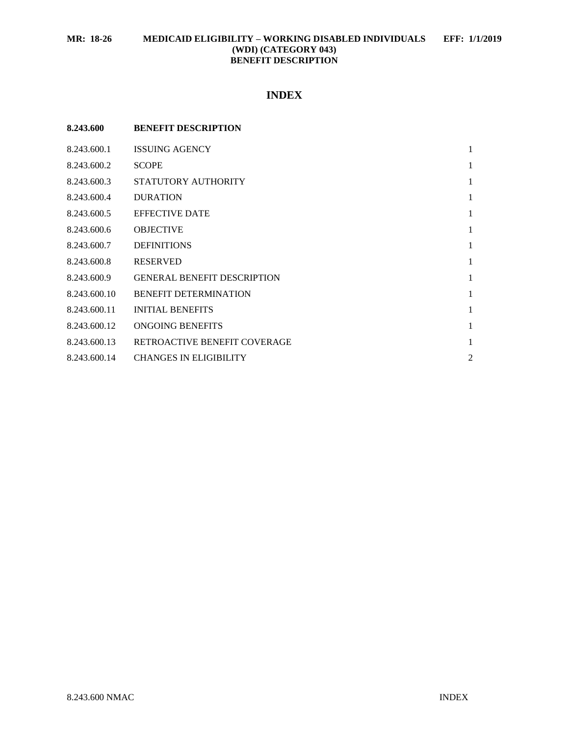# **INDEX**

| 8.243.600    | <b>BENEFIT DESCRIPTION</b>         |                |
|--------------|------------------------------------|----------------|
| 8.243.600.1  | <b>ISSUING AGENCY</b>              | 1              |
| 8.243.600.2  | <b>SCOPE</b>                       | 1              |
| 8.243.600.3  | STATUTORY AUTHORITY                | $\mathbf{1}$   |
| 8.243.600.4  | <b>DURATION</b>                    | 1              |
| 8.243.600.5  | <b>EFFECTIVE DATE</b>              | $\mathbf{1}$   |
| 8.243.600.6  | <b>OBJECTIVE</b>                   | $\mathbf{1}$   |
| 8.243.600.7  | <b>DEFINITIONS</b>                 | $\mathbf{1}$   |
| 8.243.600.8  | <b>RESERVED</b>                    | $\mathbf{1}$   |
| 8.243.600.9  | <b>GENERAL BENEFIT DESCRIPTION</b> | $\mathbf{1}$   |
| 8.243.600.10 | <b>BENEFIT DETERMINATION</b>       | $\mathbf{1}$   |
| 8.243.600.11 | <b>INITIAL BENEFITS</b>            | $\mathbf{1}$   |
| 8.243.600.12 | ONGOING BENEFITS                   | $\mathbf{1}$   |
| 8.243.600.13 | RETROACTIVE BENEFIT COVERAGE       | 1              |
| 8.243.600.14 | <b>CHANGES IN ELIGIBILITY</b>      | $\overline{2}$ |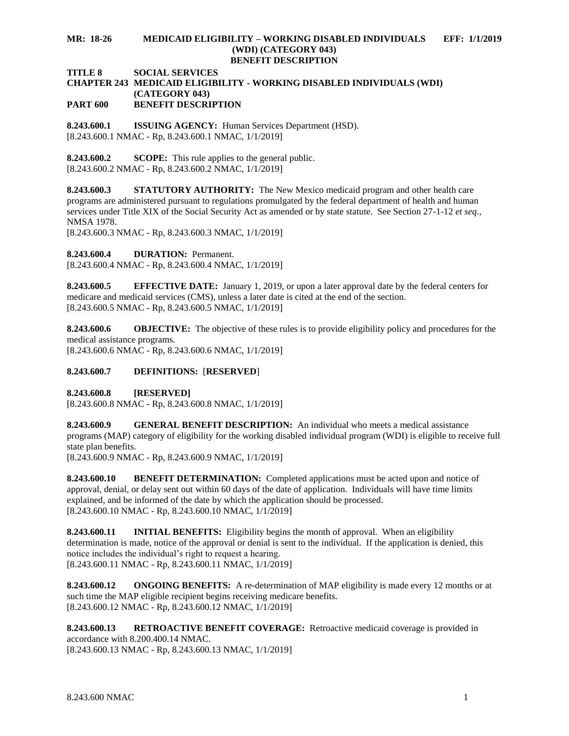#### **MR: 18-26 MEDICAID ELIGIBILITY – WORKING DISABLED INDIVIDUALS EFF: 1/1/2019 (WDI) (CATEGORY 043) BENEFIT DESCRIPTION**

**TITLE 8 SOCIAL SERVICES**

#### **CHAPTER 243 MEDICAID ELIGIBILITY - WORKING DISABLED INDIVIDUALS (WDI) (CATEGORY 043) PART 600 BENEFIT DESCRIPTION**

<span id="page-1-0"></span>**8.243.600.1 ISSUING AGENCY:** Human Services Department (HSD). [8.243.600.1 NMAC - Rp, 8.243.600.1 NMAC, 1/1/2019]

<span id="page-1-1"></span>**8.243.600.2 SCOPE:** This rule applies to the general public. [8.243.600.2 NMAC - Rp, 8.243.600.2 NMAC, 1/1/2019]

<span id="page-1-2"></span>**8.243.600.3 STATUTORY AUTHORITY:** The New Mexico medicaid program and other health care programs are administered pursuant to regulations promulgated by the federal department of health and human services under Title XIX of the Social Security Act as amended or by state statute. See Section 27-1-12 *et seq*., NMSA 1978.

[8.243.600.3 NMAC - Rp, 8.243.600.3 NMAC, 1/1/2019]

<span id="page-1-3"></span>**8.243.600.4 DURATION:** Permanent.

[8.243.600.4 NMAC - Rp, 8.243.600.4 NMAC, 1/1/2019]

<span id="page-1-4"></span>**8.243.600.5 EFFECTIVE DATE:** January 1, 2019, or upon a later approval date by the federal centers for medicare and medicaid services (CMS), unless a later date is cited at the end of the section. [8.243.600.5 NMAC - Rp, 8.243.600.5 NMAC, 1/1/2019]

<span id="page-1-5"></span>**8.243.600.6 OBJECTIVE:** The objective of these rules is to provide eligibility policy and procedures for the medical assistance programs. [8.243.600.6 NMAC - Rp, 8.243.600.6 NMAC, 1/1/2019]

# <span id="page-1-6"></span>**8.243.600.7 DEFINITIONS:** [**RESERVED**]

<span id="page-1-7"></span>**8.243.600.8 [RESERVED]**

[8.243.600.8 NMAC - Rp, 8.243.600.8 NMAC, 1/1/2019]

<span id="page-1-8"></span>**8.243.600.9 GENERAL BENEFIT DESCRIPTION:** An individual who meets a medical assistance programs (MAP) category of eligibility for the working disabled individual program (WDI) is eligible to receive full state plan benefits.

[8.243.600.9 NMAC - Rp, 8.243.600.9 NMAC, 1/1/2019]

<span id="page-1-9"></span>**8.243.600.10 BENEFIT DETERMINATION:** Completed applications must be acted upon and notice of approval, denial, or delay sent out within 60 days of the date of application. Individuals will have time limits explained, and be informed of the date by which the application should be processed. [8.243.600.10 NMAC - Rp, 8.243.600.10 NMAC, 1/1/2019]

<span id="page-1-10"></span>**8.243.600.11 INITIAL BENEFITS:** Eligibility begins the month of approval. When an eligibility determination is made, notice of the approval or denial is sent to the individual. If the application is denied, this notice includes the individual's right to request a hearing. [8.243.600.11 NMAC - Rp, 8.243.600.11 NMAC, 1/1/2019]

<span id="page-1-11"></span>**8.243.600.12 ONGOING BENEFITS:** A re-determination of MAP eligibility is made every 12 months or at such time the MAP eligible recipient begins receiving medicare benefits. [8.243.600.12 NMAC - Rp, 8.243.600.12 NMAC, 1/1/2019]

<span id="page-1-12"></span>**8.243.600.13 RETROACTIVE BENEFIT COVERAGE:** Retroactive medicaid coverage is provided in accordance with 8.200.400.14 NMAC. [8.243.600.13 NMAC - Rp, 8.243.600.13 NMAC, 1/1/2019]